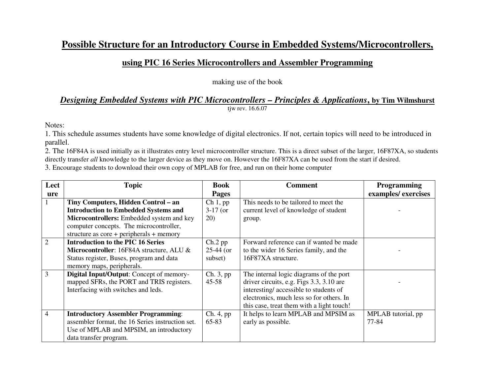## **Possible Structure for an Introductory Course in Embedded Systems/Microcontrollers,**

## **using PIC 16 Series Microcontrollers and Assembler Programming**

making use of the book

## *Designing Embedded Systems with PIC Microcontrollers – Principles & Applications***, by Tim Wilmshurst**tjw rev. 16.6.07

Notes:

 1. This schedule assumes students have some knowledge of digital electronics. If not, certain topics will need to be introduced in parallel.

 2. The 16F84A is used initially as it illustrates entry level microcontroller structure. This is a direct subset of the larger, 16F87XA, so students directly transfer *all* knowledge to the larger device as they move on. However the 16F87XA can be used from the start if desired.

3. Encourage students to download their own copy of MPLAB for free, and run on their home computer

| Lect | <b>Topic</b>                                     | <b>Book</b>  | <b>Comment</b>                            | <b>Programming</b> |
|------|--------------------------------------------------|--------------|-------------------------------------------|--------------------|
| ure  |                                                  | <b>Pages</b> |                                           | examples/exercises |
|      | Tiny Computers, Hidden Control – an              | Ch 1, pp     | This needs to be tailored to meet the     |                    |
|      | <b>Introduction to Embedded Systems and</b>      | $3-17$ (or   | current level of knowledge of student     |                    |
|      | Microcontrollers: Embedded system and key        | 20)          | group.                                    |                    |
|      | computer concepts. The microcontroller,          |              |                                           |                    |
|      | structure as $core + peripherals + memory$       |              |                                           |                    |
| 2    | <b>Introduction to the PIC 16 Series</b>         | $Ch.2$ pp    | Forward reference can if wanted be made   |                    |
|      | Microcontroller: 16F84A structure, ALU &         | $25-44$ (or  | to the wider 16 Series family, and the    |                    |
|      | Status register, Buses, program and data         | subset)      | 16F87XA structure.                        |                    |
|      | memory maps, peripherals.                        |              |                                           |                    |
| 3    | Digital Input/Output: Concept of memory-         | Ch. 3, pp    | The internal logic diagrams of the port   |                    |
|      | mapped SFRs, the PORT and TRIS registers.        | $45 - 58$    | driver circuits, e.g. Figs 3.3, 3.10 are  |                    |
|      | Interfacing with switches and leds.              |              | interesting/accessible to students of     |                    |
|      |                                                  |              | electronics, much less so for others. In  |                    |
|      |                                                  |              | this case, treat them with a light touch! |                    |
| 4    | <b>Introductory Assembler Programming:</b>       | Ch. 4, pp    | It helps to learn MPLAB and MPSIM as      | MPLAB tutorial, pp |
|      | assembler format, the 16 Series instruction set. | 65-83        | early as possible.                        | 77-84              |
|      | Use of MPLAB and MPSIM, an introductory          |              |                                           |                    |
|      | data transfer program.                           |              |                                           |                    |